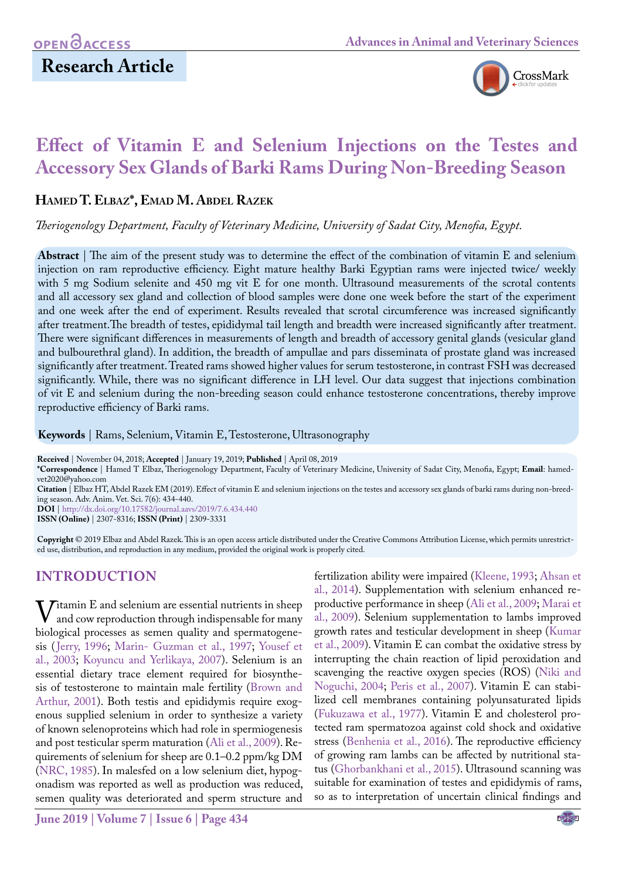

# **Effect of Vitamin E and Selenium Injections on the Testes and Accessory Sex Glands of Barki Rams During Non-Breeding Season**

## **Hamed T. Elbaz\*, Emad M. Abdel Razek**

*Theriogenology Department, Faculty of Veterinary Medicine, University of Sadat City, Menofia, Egypt.*

**Abstract** | The aim of the present study was to determine the effect of the combination of vitamin E and selenium injection on ram reproductive efficiency. Eight mature healthy Barki Egyptian rams were injected twice/ weekly with 5 mg Sodium selenite and 450 mg vit E for one month. Ultrasound measurements of the scrotal contents and all accessory sex gland and collection of blood samples were done one week before the start of the experiment and one week after the end of experiment. Results revealed that scrotal circumference was increased significantly after treatment.The breadth of testes, epididymal tail length and breadth were increased significantly after treatment. There were significant differences in measurements of length and breadth of accessory genital glands (vesicular gland and bulbourethral gland). In addition, the breadth of ampullae and pars disseminata of prostate gland was increased significantly after treatment. Treated rams showed higher values for serum testosterone, in contrast FSH was decreased significantly. While, there was no significant difference in LH level. Our data suggest that injections combination of vit E and selenium during the non-breeding season could enhance testosterone concentrations, thereby improve reproductive efficiency of Barki rams.

**Keywords** | Rams, Selenium, Vitamin E, Testosterone, Ultrasonography

**Received** | November 04, 2018; **Accepted** | January 19, 2019; **Published** | April 08, 2019

**\*Correspondence** | Hamed T Elbaz, Theriogenology Department, Faculty of Veterinary Medicine, University of Sadat City, Menofia, Egypt; **Email**: hamedvet2020@yahoo.com

**Citation** | Elbaz HT, Abdel Razek EM (2019). Effect of vitamin E and selenium injections on the testes and accessory sex glands of barki rams during non-breeding season. Adv. Anim. Vet. Sci. 7(6): 434-440.

**DOI** | [http://dx.doi.org/10.17582/journal.aavs/201](http://dx.doi.org/10.17582/journal.aavs/2019/7.6.434.440)9/7.6.434.440

**ISSN (Online)** | 2307-8316; **ISSN (Print)** | 2309-3331

**Copyright** © 2019 Elbaz and Abdel Razek. This is an open access article distributed under the Creative Commons Attribution License, which permits unrestricted use, distribution, and reproduction in any medium, provided the original work is properly cited.

# **INTRODUCTION**

Vitamin E and selenium are essential nutrients in sheep<br>and cow reproduction through indispensable for many<br>biological processes as semen quality and spermatogenebiological processes as semen quality and spermatogenesis ([Jerry, 1996;](#page-5-0) [Marin- Guzman et al., 1997](#page-6-0); [Yousef et](#page-6-1)  [al., 2003;](#page-6-1) [Koyuncu and Yerlikaya, 2007\)](#page-6-2). Selenium is an essential dietary trace element required for biosynthesis of testosterone to maintain male fertility ([Brown and](#page-5-1)  [Arthur, 2001\)](#page-5-1). Both testis and epididymis require exogenous supplied selenium in order to synthesize a variety of known selenoproteins which had role in spermiogenesis and post testicular sperm maturation ([Ali et al., 2009\)](#page-5-2). Requirements of selenium for sheep are 0.1–0.2 ppm/kg DM ([NRC, 1985](#page-6-3)). In malesfed on a low selenium diet, hypogonadism was reported as well as production was reduced, semen quality was deteriorated and sperm structure and

fertilization ability were impaired [\(Kleene, 1993;](#page-5-3) [Ahsan et](#page-5-4) [al., 2014](#page-5-4)). Supplementation with selenium enhanced reproductive performance in sheep ([Ali et al., 2009;](#page-5-2) [Marai et](#page-6-4) [al., 2009](#page-6-4)). Selenium supplementation to lambs improved growth rates and testicular development in sheep ([Kumar](#page-6-5) [et al., 2009\)](#page-6-5). Vitamin E can combat the oxidative stress by interrupting the chain reaction of lipid peroxidation and scavenging the reactive oxygen species (ROS) ([Niki and](#page-6-6) [Noguchi, 2004](#page-6-6); [Peris et al., 2007](#page-6-7)). Vitamin E can stabilized cell membranes containing polyunsaturated lipids (Fukuzawa et al., 1977). Vitamin E and cholesterol protected ram spermatozoa against cold shock and oxidative stress ([Benhenia et al., 2016](#page-5-5)). The reproductive efficiency of growing ram lambs can be affected by nutritional status [\(Ghorbankhani et al., 2015\)](#page-5-6). Ultrasound scanning was suitable for examination of testes and epididymis of rams, so as to interpretation of uncertain clinical findings and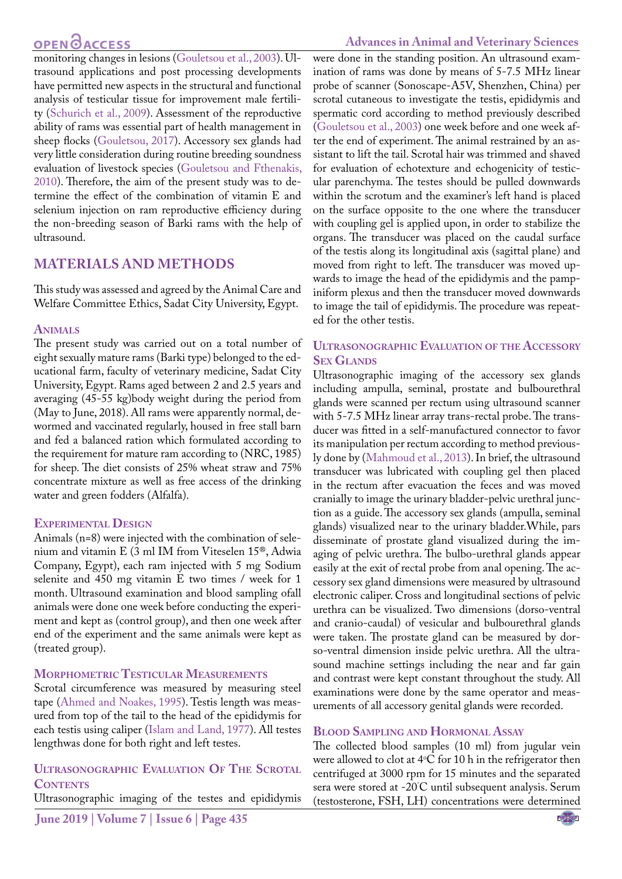# **OPEN GACCESS**

monitoring changes in lesions ([Gouletsou et al., 2003\)](#page-5-7). Ultrasound applications and post processing developments have permitted new aspects in the structural and functional analysis of testicular tissue for improvement male fertility ([Schurich et al., 2009](#page-6-8)). Assessment of the reproductive ability of rams was essential part of health management in sheep flocks [\(Gouletsou, 2017\)](#page-5-8). Accessory sex glands had very little consideration during routine breeding soundness evaluation of livestock species [\(Gouletsou and Fthenakis,](#page-5-9) [2010](#page-5-9)). Therefore, the aim of the present study was to determine the effect of the combination of vitamin E and selenium injection on ram reproductive efficiency during the non-breeding season of Barki rams with the help of ultrasound.

## **MATERIALS AND METHODS**

This study was assessed and agreed by the Animal Care and Welfare Committee Ethics, Sadat City University, Egypt.

### **Animals**

The present study was carried out on a total number of eight sexually mature rams (Barki type) belonged to the educational farm, faculty of veterinary medicine, Sadat City University, Egypt. Rams aged between 2 and 2.5 years and averaging (45-55 kg)body weight during the period from (May to June, 2018). All rams were apparently normal, dewormed and vaccinated regularly, housed in free stall barn and fed a balanced ration which formulated according to the requirement for mature ram according to (NRC, 1985) for sheep. The diet consists of 25% wheat straw and 75% concentrate mixture as well as free access of the drinking water and green fodders (Alfalfa).

### **Experimental Design**

Animals (n=8) were injected with the combination of selenium and vitamin E (3 ml IM from Viteselen 15®, Adwia Company, Egypt), each ram injected with 5 mg Sodium selenite and 450 mg vitamin E two times / week for 1 month. Ultrasound examination and blood sampling ofall animals were done one week before conducting the experiment and kept as (control group), and then one week after end of the experiment and the same animals were kept as (treated group).

### **Morphometric Testicular Measurements**

Scrotal circumference was measured by measuring steel tape ([Ahmed and Noakes, 1995\)](#page-5-10). Testis length was measured from top of the tail to the head of the epididymis for each testis using caliper [\(Islam and Land, 1977](#page-5-11)). All testes lengthwas done for both right and left testes.

### **Ultrasonographic Evaluation Of The Scrotal CONTENTS**

Ultrasonographic imaging of the testes and epididymis

were done in the standing position. An ultrasound examination of rams was done by means of 5-7.5 MHz linear probe of scanner (Sonoscape-A5V, Shenzhen, China) per scrotal cutaneous to investigate the testis, epididymis and spermatic cord according to method previously described [\(Gouletsou et al., 2003](#page-5-7)) one week before and one week after the end of experiment. The animal restrained by an assistant to lift the tail. Scrotal hair was trimmed and shaved for evaluation of echotexture and echogenicity of testicular parenchyma. The testes should be pulled downwards within the scrotum and the examiner's left hand is placed on the surface opposite to the one where the transducer with coupling gel is applied upon, in order to stabilize the organs. The transducer was placed on the caudal surface of the testis along its longitudinal axis (sagittal plane) and moved from right to left. The transducer was moved upwards to image the head of the epididymis and the pampiniform plexus and then the transducer moved downwards to image the tail of epididymis. The procedure was repeated for the other testis.

### **Ultrasonographic Evaluation of the Accessory Sex Glands**

Ultrasonographic imaging of the accessory sex glands including ampulla, seminal, prostate and bulbourethral glands were scanned per rectum using ultrasound scanner with 5-7.5 MHz linear array trans-rectal probe. The transducer was fitted in a self-manufactured connector to favor its manipulation per rectum according to method previously done by [\(Mahmoud et al., 2013](#page-6-9)). In brief, the ultrasound transducer was lubricated with coupling gel then placed in the rectum after evacuation the feces and was moved cranially to image the urinary bladder-pelvic urethral junction as a guide. The accessory sex glands (ampulla, seminal glands) visualized near to the urinary bladder.While, pars disseminate of prostate gland visualized during the imaging of pelvic urethra. The bulbo-urethral glands appear easily at the exit of rectal probe from anal opening. The accessory sex gland dimensions were measured by ultrasound electronic caliper. Cross and longitudinal sections of pelvic urethra can be visualized. Two dimensions (dorso-ventral and cranio-caudal) of vesicular and bulbourethral glands were taken. The prostate gland can be measured by dorso-ventral dimension inside pelvic urethra. All the ultrasound machine settings including the near and far gain and contrast were kept constant throughout the study. All examinations were done by the same operator and measurements of all accessory genital glands were recorded.

### **Blood Sampling and Hormonal Assay**

The collected blood samples (10 ml) from jugular vein were allowed to clot at  $4^{\circ}$ C for 10 h in the refrigerator then centrifuged at 3000 rpm for 15 minutes and the separated sera were stored at -20° C until subsequent analysis. Serum (testosterone, FSH, LH) concentrations were determined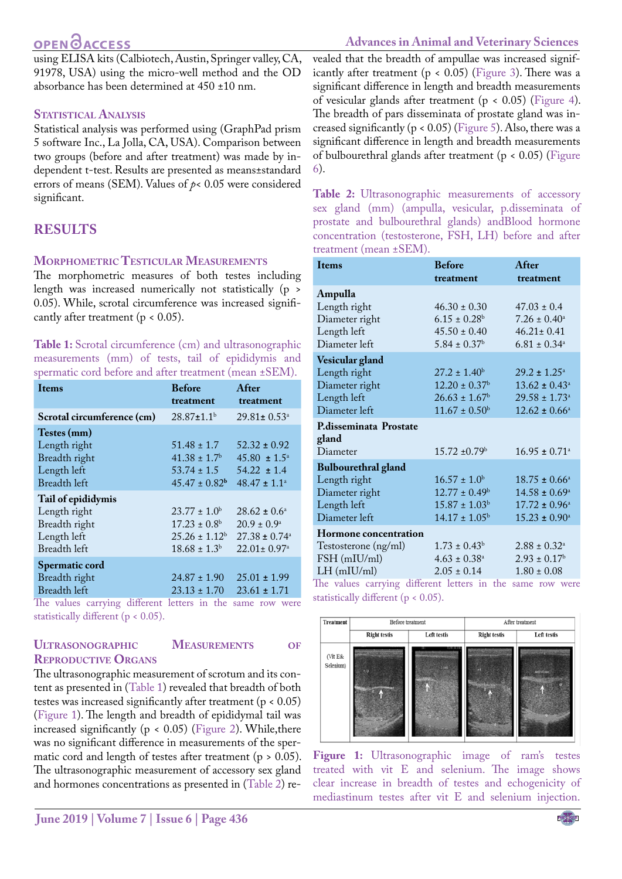# **OPEN**OACCESS

using ELISA kits (Calbiotech, Austin, Springer valley, CA, 91978, USA) using the micro-well method and the OD absorbance has been determined at 450 ±10 nm.

## **Statistical Analysis**

Statistical analysis was performed using (GraphPad prism 5 software Inc., La Jolla, CA, USA). Comparison between two groups (before and after treatment) was made by independent t-test. Results are presented as means±standard errors of means (SEM). Values of *p*< 0.05 were considered significant.

# **RESULTS**

## **Morphometric Testicular Measurements**

The morphometric measures of both testes including length was increased numerically not statistically (p > 0.05). While, scrotal circumference was increased significantly after treatment ( $p < 0.05$ ).

<span id="page-2-0"></span>**Table 1:** Scrotal circumference (cm) and ultrasonographic measurements (mm) of tests, tail of epididymis and spermatic cord before and after treatment (mean ±SEM).

| <b>Items</b>                                                | <b>Before</b>                | After                         |
|-------------------------------------------------------------|------------------------------|-------------------------------|
|                                                             | treatment                    | treatment                     |
| Scrotal circumference (cm)                                  | $28.87 \pm 1.1^b$            | $29.81 \pm 0.53^{\circ}$      |
| Testes (mm)                                                 |                              |                               |
| Length right                                                | $51.48 \pm 1.7$              | $52.32 \pm 0.92$              |
| Breadth right                                               | $41.38 \pm 1.7$ <sup>b</sup> | $45.80 \pm 1.5^{\circ}$       |
| Length left                                                 | $53.74 \pm 1.5$              | $54.22 \pm 1.4$               |
| Breadth left                                                | $45.47 \pm 0.82^b$           | $48.47 \pm 1.1^a$             |
| Tail of epididymis                                          |                              |                               |
| Length right                                                | $23.77 \pm 1.0^{\rm b}$      | $28.62 \pm 0.6^{\circ}$       |
| Breadth right                                               | $17.23 \pm 0.8^{\rm b}$      | $20.9 \pm 0.9^{\circ}$        |
| Length left                                                 | $25.26 \pm 1.12^b$           | $27.38 \pm 0.74$ <sup>a</sup> |
| Breadth left                                                | $18.68 \pm 1.3^b$            | $22.01 \pm 0.97$ <sup>a</sup> |
| Spermatic cord                                              |                              |                               |
| Breadth right                                               | $24.87 \pm 1.90$             | $25.01 \pm 1.99$              |
| Breadth left                                                | $23.13 \pm 1.70$             | $23.61 \pm 1.71$              |
| The values correiner different letters in the same row were |                              |                               |

The values carrying different letters in the same row were statistically different (p < 0.05).

## **Ultrasonographic Measurements of Reproductive Organs**

The ultrasonographic measurement of scrotum and its content as presented in [\(Table 1\)](#page-2-0) revealed that breadth of both testes was increased significantly after treatment (p < 0.05) ([Figure 1\)](#page-2-1). The length and breadth of epididymal tail was increased significantly ( $p < 0.05$ ) [\(Figure 2\)](#page-3-0). While, there was no significant difference in measurements of the spermatic cord and length of testes after treatment ( $p > 0.05$ ). The ultrasonographic measurement of accessory sex gland and hormones concentrations as presented in ([Table 2](#page-2-2)) re-

# **Advances in Animal and Veterinary Sciences**

vealed that the breadth of ampullae was increased significantly after treatment ( $p < 0.05$ ) ([Figure 3\)](#page-3-1). There was a significant difference in length and breadth measurements of vesicular glands after treatment (p < 0.05) [\(Figure 4\)](#page-3-2). The breadth of pars disseminata of prostate gland was increased significantly ( $p < 0.05$ ) [\(Figure 5](#page-3-3)). Also, there was a significant difference in length and breadth measurements of bulbourethral glands after treatment (p < 0.05) ([Figure](#page-3-4)  [6](#page-3-4)).

<span id="page-2-2"></span>Table 2: Ultrasonographic measurements of accessory sex gland (mm) (ampulla, vesicular, p.disseminata of prostate and bulbourethral glands) andBlood hormone concentration (testosterone, FSH, LH) before and after treatment (mean ±SEM).

| <b>I</b> tems                                                                                          | <b>Before</b><br>treatment                                                                                                                                                                                                                                                                             | After<br>treatment                                                                                           |
|--------------------------------------------------------------------------------------------------------|--------------------------------------------------------------------------------------------------------------------------------------------------------------------------------------------------------------------------------------------------------------------------------------------------------|--------------------------------------------------------------------------------------------------------------|
| Ampulla<br>Length right<br>Diameter right<br>Length left<br>Diameter left                              | $46.30 \pm 0.30$<br>$6.15 \pm 0.28$ <sup>b</sup><br>$45.50 \pm 0.40$<br>$5.84 \pm 0.37$ <sup>b</sup>                                                                                                                                                                                                   | $47.03 \pm 0.4$<br>$7.26 \pm 0.40^{\circ}$<br>$46.21 \pm 0.41$<br>$6.81 \pm 0.34$ <sup>a</sup>               |
| Vesicular gland<br>Length right<br>Diameter right<br>Length left<br>Diameter left                      | $27.2 \pm 1.40^b$<br>$12.20 \pm 0.37$ <sup>b</sup><br>$26.63 \pm 1.67^b$<br>$11.67 \pm 0.50^b$                                                                                                                                                                                                         | $29.2 \pm 1.25^{\circ}$<br>$13.62 \pm 0.43^a$<br>$29.58 \pm 1.73$ <sup>a</sup><br>$12.62 \pm 0.66^{\circ}$   |
| P.disseminata Prostate<br>gland<br>Diameter                                                            | $15.72 \pm 0.79$ <sup>b</sup>                                                                                                                                                                                                                                                                          | $16.95 \pm 0.71$ <sup>a</sup>                                                                                |
| <b>Bulbourethral gland</b><br>Length right<br>Diameter right<br>Length left<br>Diameter left           | $16.57 \pm 1.0^b$<br>$12.77 \pm 0.49^b$<br>$15.87 \pm 1.03^b$<br>$14.17 \pm 1.05^b$                                                                                                                                                                                                                    | $18.75 \pm 0.66^{\circ}$<br>$14.58 \pm 0.69^{\circ}$<br>$17.72 \pm 0.96^{\circ}$<br>$15.23 \pm 0.90^{\circ}$ |
| <b>Hormone</b> concentration<br>Testosterone (ng/ml)<br>FSH (mIU/ml)<br>$LH$ (mIU/ml)<br>$1: \alpha$ . | $1.73 \pm 0.43^b$<br>$4.63 \pm 0.38$ <sup>a</sup><br>$2.05 \pm 0.14$<br>and the basic control of the control of the control of the control of the control of the control of the control of the control of the control of the control of the control of the control of the control of the control of th | $2.88 \pm 0.32^{\circ}$<br>$2.93 \pm 0.17^b$<br>$1.80 \pm 0.08$                                              |

The values carrying different letters in the same row were statistically different (p < 0.05).



<span id="page-2-1"></span>**Figure 1:** Ultrasonographic image of ram's testes treated with vit E and selenium. The image shows clear increase in breadth of testes and echogenicity of mediastinum testes after vit E and selenium injection.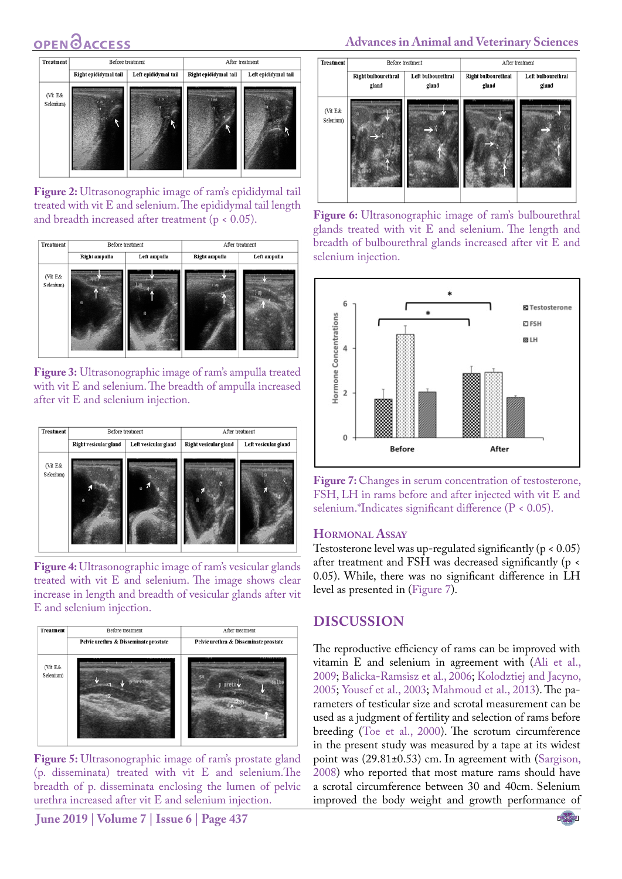# **OPEN**<sub>d</sub>



**Figure 2:** Ultrasonographic image of ram's epididymal tail treated with vit E and selenium. The epididymal tail length and breadth increased after treatment (p < 0.05).

<span id="page-3-0"></span>

<span id="page-3-1"></span>**Figure 3:** Ultrasonographic image of ram's ampulla treated with vit E and selenium. The breadth of ampulla increased after vit E and selenium injection.



<span id="page-3-2"></span>**Figure 4:** Ultrasonographic image of ram's vesicular glands treated with vit E and selenium. The image shows clear increase in length and breadth of vesicular glands after vit E and selenium injection.



<span id="page-3-3"></span>**Figure 5:** Ultrasonographic image of ram's prostate gland (p. disseminata) treated with vit E and selenium.The breadth of p. disseminata enclosing the lumen of pelvic urethra increased after vit E and selenium injection.

**June 2019 | Volume 7 | Issue 6 | Page 437**

## **Advances in Animal and Veterinary Sciences**



<span id="page-3-4"></span>**Figure 6:** Ultrasonographic image of ram's bulbourethral glands treated with vit E and selenium. The length and breadth of bulbourethral glands increased after vit E and selenium injection.



<span id="page-3-5"></span>Figure 7: Changes in serum concentration of testosterone, FSH, LH in rams before and after injected with vit E and selenium.\*Indicates significant difference (P < 0.05).

#### **Hormonal Assay**

Testosterone level was up-regulated significantly (p < 0.05) after treatment and FSH was decreased significantly (p < 0.05). While, there was no significant difference in LH level as presented in [\(Figure 7\)](#page-3-5).

### **DISCUSSION**

The reproductive efficiency of rams can be improved with vitamin E and selenium in agreement with ([Ali et al.,](#page-5-2)  [2009;](#page-5-2) [Balicka-Ramsisz et al., 2006;](#page-5-12) [Kolodztiej and Jacyno,](#page-6-10)  [2005;](#page-6-10) [Yousef et al., 2003](#page-6-1); [Mahmoud et al., 2013\)](#page-6-9). The parameters of testicular size and scrotal measurement can be used as a judgment of fertility and selection of rams before breeding [\(Toe et al., 2000\)](#page-6-11). The scrotum circumference in the present study was measured by a tape at its widest point was (29.81±0.53) cm. In agreement with [\(Sargison,](#page-6-12)  [2008\)](#page-6-12) who reported that most mature rams should have a scrotal circumference between 30 and 40cm. Selenium improved the body weight and growth performance of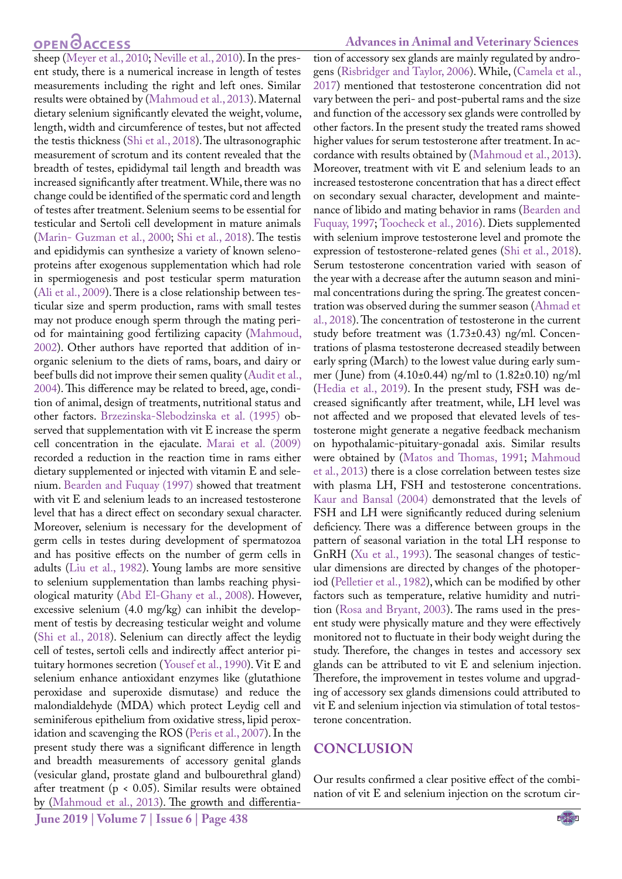# **OPEN**OACCESS

sheep ([Meyer et al., 2010](#page-6-13); [Neville et al., 2010\)](#page-6-14). In the present study, there is a numerical increase in length of testes measurements including the right and left ones. Similar results were obtained by ([Mahmoud et al., 2013](#page-6-9)). Maternal dietary selenium significantly elevated the weight, volume, length, width and circumference of testes, but not affected the testis thickness ([Shi et al., 2018](#page-6-15)). The ultrasonographic measurement of scrotum and its content revealed that the breadth of testes, epididymal tail length and breadth was increased significantly after treatment. While, there was no change could be identified of the spermatic cord and length of testes after treatment. Selenium seems to be essential for testicular and Sertoli cell development in mature animals [\(Marin- Guzman et al., 2000;](#page-6-16) [Shi et al., 2018](#page-6-15)). The testis and epididymis can synthesize a variety of known selenoproteins after exogenous supplementation which had role in spermiogenesis and post testicular sperm maturation [\(Ali et al., 2009\)](#page-5-2). There is a close relationship between testicular size and sperm production, rams with small testes may not produce enough sperm through the mating period for maintaining good fertilizing capacity [\(Mahmoud,](#page-6-17) [2002\)](#page-6-17). Other authors have reported that addition of inorganic selenium to the diets of rams, boars, and dairy or beef bulls did not improve their semen quality [\(Audit et al.,](#page-5-13) [2004\)](#page-5-13). This difference may be related to breed, age, condition of animal, design of treatments, nutritional status and other factors. [Brzezinska-Slebodzinska et al. \(1995\)](#page-5-14) observed that supplementation with vit E increase the sperm cell concentration in the ejaculate. [Marai et al. \(2009\)](#page-6-4) recorded a reduction in the reaction time in rams either dietary supplemented or injected with vitamin E and selenium. [Bearden and Fuquay \(1997\)](#page-5-15) showed that treatment with vit E and selenium leads to an increased testosterone level that has a direct effect on secondary sexual character. Moreover, selenium is necessary for the development of germ cells in testes during development of spermatozoa and has positive effects on the number of germ cells in adults [\(Liu et al., 1982](#page-6-18)). Young lambs are more sensitive to selenium supplementation than lambs reaching physiological maturity ([Abd El-Ghany et al., 2008](#page-5-16)). However, excessive selenium (4.0 mg/kg) can inhibit the development of testis by decreasing testicular weight and volume [\(Shi et al., 2018](#page-6-15)). Selenium can directly affect the leydig cell of testes, sertoli cells and indirectly affect anterior pituitary hormones secretion ([Yousef et al., 1990](#page-6-1)). Vit E and selenium enhance antioxidant enzymes like (glutathione peroxidase and superoxide dismutase) and reduce the malondialdehyde (MDA) which protect Leydig cell and seminiferous epithelium from oxidative stress, lipid peroxidation and scavenging the ROS [\(Peris et al., 2007](#page-6-7)). In the present study there was a significant difference in length and breadth measurements of accessory genital glands (vesicular gland, prostate gland and bulbourethral gland) after treatment (p < 0.05). Similar results were obtained by [\(Mahmoud et al., 2013](#page-6-9)). The growth and differentia-

#### **Advances in Animal and Veterinary Sciences**

tion of accessory sex glands are mainly regulated by androgens ([Risbridger and Taylor, 2006\)](#page-6-19). While, [\(Camela et al.,](#page-5-17)  [2017](#page-5-17)) mentioned that testosterone concentration did not vary between the peri- and post-pubertal rams and the size and function of the accessory sex glands were controlled by other factors. In the present study the treated rams showed higher values for serum testosterone after treatment. In accordance with results obtained by ([Mahmoud et al., 2013](#page-6-9)). Moreover, treatment with vit E and selenium leads to an increased testosterone concentration that has a direct effect on secondary sexual character, development and maintenance of libido and mating behavior in rams [\(Bearden and](#page-5-15)  [Fuquay, 1997;](#page-5-15) [Toocheck et al., 2016](#page-6-20)). Diets supplemented with selenium improve testosterone level and promote the expression of testosterone-related genes ([Shi et al., 2018](#page-6-15)). Serum testosterone concentration varied with season of the year with a decrease after the autumn season and minimal concentrations during the spring. The greatest concentration was observed during the summer season ([Ahmad et](#page-5-18)  [al., 2018](#page-5-18)). The concentration of testosterone in the current study before treatment was (1.73±0.43) ng/ml. Concentrations of plasma testosterone decreased steadily between early spring (March) to the lowest value during early summer ( June) from (4.10±0.44) ng/ml to (1.82±0.10) ng/ml ([Hedia et al., 2019\)](#page-5-19). In the present study, FSH was decreased significantly after treatment, while, LH level was not affected and we proposed that elevated levels of testosterone might generate a negative feedback mechanism on hypothalamic-pituitary-gonadal axis. Similar results were obtained by ([Matos and Thomas, 1991;](#page-6-21) [Mahmoud](#page-6-9)  [et al., 2013\)](#page-6-9) there is a close correlation between testes size with plasma LH, FSH and testosterone concentrations. [Kaur and Bansal \(2004\)](#page-5-20) demonstrated that the levels of FSH and LH were significantly reduced during selenium deficiency. There was a difference between groups in the pattern of seasonal variation in the total LH response to GnRH [\(Xu et al., 1993](#page-6-22)). The seasonal changes of testicular dimensions are directed by changes of the photoperiod ([Pelletier et al., 1982\)](#page-6-23), which can be modified by other factors such as temperature, relative humidity and nutrition ([Rosa and Bryant, 2003](#page-6-24)). The rams used in the present study were physically mature and they were effectively monitored not to fluctuate in their body weight during the study. Therefore, the changes in testes and accessory sex glands can be attributed to vit E and selenium injection. Therefore, the improvement in testes volume and upgrading of accessory sex glands dimensions could attributed to vit E and selenium injection via stimulation of total testosterone concentration.

## **CONCLUSION**

Our results confirmed a clear positive effect of the combination of vit E and selenium injection on the scrotum cir-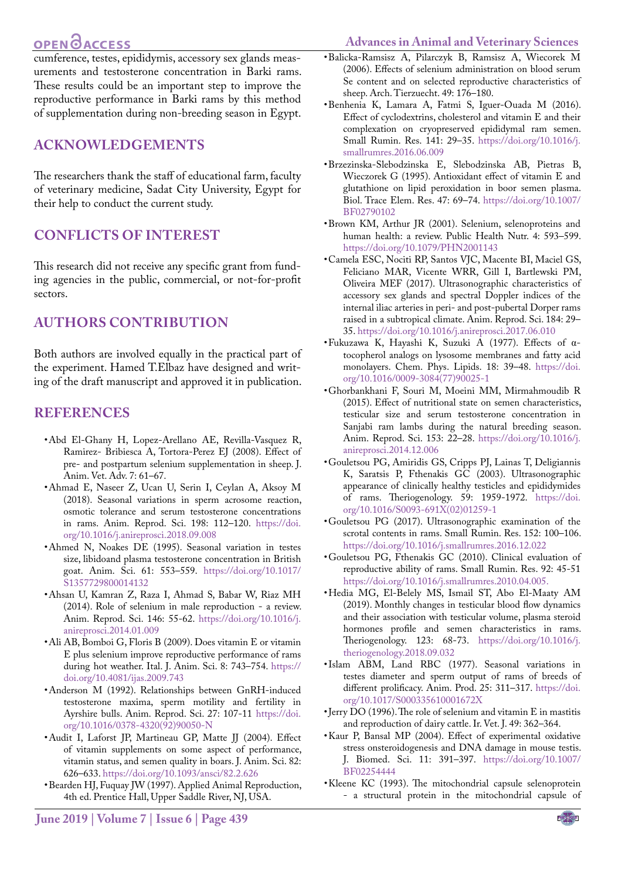# OPEN **OACCESS**

<span id="page-5-12"></span>**Advances in Animal and Veterinary Sciences**

cumference, testes, epididymis, accessory sex glands measurements and testosterone concentration in Barki rams. These results could be an important step to improve the reproductive performance in Barki rams by this method of supplementation during non-breeding season in Egypt.

## **ACKNOWLEDGEMENTS**

The researchers thank the staff of educational farm, faculty of veterinary medicine, Sadat City University, Egypt for their help to conduct the current study.

## **CONFLICTS OF INTEREST**

This research did not receive any specific grant from funding agencies in the public, commercial, or not-for-profit sectors.

# **authors contribution**

Both authors are involved equally in the practical part of the experiment. Hamed T.Elbaz have designed and writing of the draft manuscript and approved it in publication.

## **REFERENCES**

- <span id="page-5-16"></span>• Abd El-Ghany H, Lopez-Arellano AE, Revilla-Vasquez R, Ramirez- Bribiesca A, Tortora-Perez EJ (2008). Effect of pre- and postpartum selenium supplementation in sheep. J. Anim. Vet. Adv. 7: 61–67.
- <span id="page-5-18"></span>• Ahmad E, Naseer Z, Ucan U, Serin I, Ceylan A, Aksoy M (2018). Seasonal variations in sperm acrosome reaction, osmotic tolerance and serum testosterone concentrations in rams. Anim. Reprod. Sci. 198: 112–120. [https://doi.](https://doi.org/10.1016/j.anireprosci.2018.09.008 ) [org/10.1016/j.anireprosci.2018.09.008](https://doi.org/10.1016/j.anireprosci.2018.09.008 )
- <span id="page-5-10"></span>• Ahmed N, Noakes DE (1995). Seasonal variation in testes size, libidoand plasma testosterone concentration in British goat. Anim. Sci. 61: 553–559. [https://doi.org/10.1017/](https://doi.org/10.1017/S1357729800014132 ) [S1357729800014132](https://doi.org/10.1017/S1357729800014132 )
- <span id="page-5-4"></span>• Ahsan U, Kamran Z, Raza I, Ahmad S, Babar W, Riaz MH (2014). Role of selenium in male reproduction - a review. Anim. Reprod. Sci. 146: 55-62. [https://doi.org/10.1016/j.](https://doi.org/10.1016/j.anireprosci.2014.01.009 ) [anireprosci.2014.01.009](https://doi.org/10.1016/j.anireprosci.2014.01.009 )
- <span id="page-5-2"></span>• Ali AB, Bomboi G, Floris B (2009). Does vitamin E or vitamin E plus selenium improve reproductive performance of rams during hot weather. Ital. J. Anim. Sci. 8: 743–754. [https://](https://doi.org/10.4081/ijas.2009.743 ) [doi.org/10.4081/ijas.2009.743](https://doi.org/10.4081/ijas.2009.743 )
- • Anderson M (1992). Relationships between GnRH-induced testosterone maxima, sperm motility and fertility in Ayrshire bulls. Anim. Reprod. Sci. 27: 107-11 [https://doi.](https://doi.org/10.1016/0378-4320(92)90050-N ) [org/10.1016/0378-4320\(92\)90050-N](https://doi.org/10.1016/0378-4320(92)90050-N )
- <span id="page-5-13"></span>• Audit I, Laforst JP, Martineau GP, Matte JJ (2004). Effect of vitamin supplements on some aspect of performance, vitamin status, and semen quality in boars. J. Anim. Sci. 82: 626–633. [https://doi.org/10.1093/ansci/82.2.626](https://doi.org/10.1093/ansci/82.2.626 )
- <span id="page-5-15"></span>• Bearden HJ, Fuquay JW (1997). Applied Animal Reproduction, 4th ed. Prentice Hall, Upper Saddle River, NJ, USA.
- • Balicka-Ramsisz A, Pilarczyk B, Ramsisz A, Wiecorek M (2006). Effects of selenium administration on blood serum Se content and on selected reproductive characteristics of sheep. Arch. Tierzuecht. 49: 176–180.
- <span id="page-5-5"></span>• Benhenia K, Lamara A, Fatmi S, Iguer-Ouada M (2016). Effect of cyclodextrins, cholesterol and vitamin E and their complexation on cryopreserved epididymal ram semen. Small Rumin. Res. 141: 29–35. [https://doi.org/10.1016/j.](https://doi.org/10.1016/j.smallrumres.2016.06.009 ) [smallrumres.2016.06.009](https://doi.org/10.1016/j.smallrumres.2016.06.009 )
- <span id="page-5-14"></span>• Brzezinska-Slebodzinska E, Slebodzinska AB, Pietras B, Wieczorek G (1995). Antioxidant effect of vitamin E and glutathione on lipid peroxidation in boor semen plasma. Biol. Trace Elem. Res. 47: 69–74. [https://doi.org/10.1007/](https://doi.org/10.1007/BF02790102 ) [BF02790102](https://doi.org/10.1007/BF02790102 )
- <span id="page-5-1"></span>• Brown KM, Arthur JR (2001). Selenium, selenoproteins and human health: a review. Public Health Nutr. 4: 593–599. [https://doi.org/10.1079/PHN2001143](https://doi.org/10.1079/PHN2001143 )
- <span id="page-5-17"></span>• Camela ESC, Nociti RP, Santos VJC, Macente BI, Maciel GS, Feliciano MAR, Vicente WRR, Gill I, Bartlewski PM, Oliveira MEF (2017). Ultrasonographic characteristics of accessory sex glands and spectral Doppler indices of the internal iliac arteries in peri- and post-pubertal Dorper rams raised in a subtropical climate. Anim. Reprod. Sci. 184: 29– 35. [https://doi.org/10.1016/j.anireprosci.2017.06.010](https://doi.org/10.1016/j.anireprosci.2017.06.010 )
- • Fukuzawa K, Hayashi K, Suzuki A (1977). Effects of αtocopherol analogs on lysosome membranes and fatty acid monolayers. Chem. Phys. Lipids. 18: 39–48. [https://doi.](https://doi.org/10.1016/0009-3084(77)90025-1 ) [org/10.1016/0009-3084\(77\)90025-1](https://doi.org/10.1016/0009-3084(77)90025-1 )
- <span id="page-5-6"></span>• Ghorbankhani F, Souri M, Moeini MM, Mirmahmoudib R (2015). Effect of nutritional state on semen characteristics, testicular size and serum testosterone concentration in Sanjabi ram lambs during the natural breeding season. Anim. Reprod. Sci. 153: 22–28. [https://doi.org/10.1016/j.](https://doi.org/10.1016/j.anireprosci.2014.12.006 ) [anireprosci.2014.12.006](https://doi.org/10.1016/j.anireprosci.2014.12.006 )
- <span id="page-5-7"></span>• Gouletsou PG, Amiridis GS, Cripps PJ, Lainas T, Deligiannis K, Saratsis P, Fthenakis GC (2003). Ultrasonographic appearance of clinically healthy testicles and epididymides of rams. Theriogenology. 59: 1959-1972. [https://doi.](https://doi.org/10.1016/S0093-691X(02)01259-1 ) [org/10.1016/S0093-691X\(02\)01259-1](https://doi.org/10.1016/S0093-691X(02)01259-1 )
- <span id="page-5-8"></span>• Gouletsou PG (2017). Ultrasonographic examination of the scrotal contents in rams. Small Rumin. Res. 152: 100–106. [https://doi.org/10.1016/j.smallrumres.2016.12.022](https://doi.org/10.1016/j.smallrumres.2016.12.022 )
- <span id="page-5-9"></span>• Gouletsou PG, Fthenakis GC (2010). Clinical evaluation of reproductive ability of rams. Small Rumin. Res. 92: 45-51 [https://doi.org/10.1016/j.smallrumres.2010.04.005.](https://doi.org/10.1016/j.smallrumres.2010.04.005. )
- <span id="page-5-19"></span>• Hedia MG, El-Belely MS, Ismail ST, Abo El-Maaty AM (2019). Monthly changes in testicular blood flow dynamics and their association with testicular volume, plasma steroid hormones profile and semen characteristics in rams. Theriogenology. 123: 68-73. [https://doi.org/10.1016/j.](https://doi.org/10.1016/j.theriogenology.2018.09.032 ) [theriogenology.2018.09.032](https://doi.org/10.1016/j.theriogenology.2018.09.032 )
- <span id="page-5-11"></span>• Islam ABM, Land RBC (1977). Seasonal variations in testes diameter and sperm output of rams of breeds of different prolificacy. Anim. Prod. 25: 311–317. [https://doi.](https://doi.org/10.1017/S000335610001672X ) [org/10.1017/S000335610001672X](https://doi.org/10.1017/S000335610001672X )
- <span id="page-5-0"></span>• Jerry DO (1996). The role of selenium and vitamin E in mastitis and reproduction of dairy cattle. Ir. Vet. J. 49: 362–364.
- <span id="page-5-20"></span>• Kaur P, Bansal MP (2004). Effect of experimental oxidative stress onsteroidogenesis and DNA damage in mouse testis. J. Biomed. Sci. 11: 391–397. [https://doi.org/10.1007/](https://doi.org/10.1007/BF02254444 ) [BF02254444](https://doi.org/10.1007/BF02254444 )
- <span id="page-5-3"></span>• Kleene KC (1993). The mitochondrial capsule selenoprotein - a structural protein in the mitochondrial capsule of